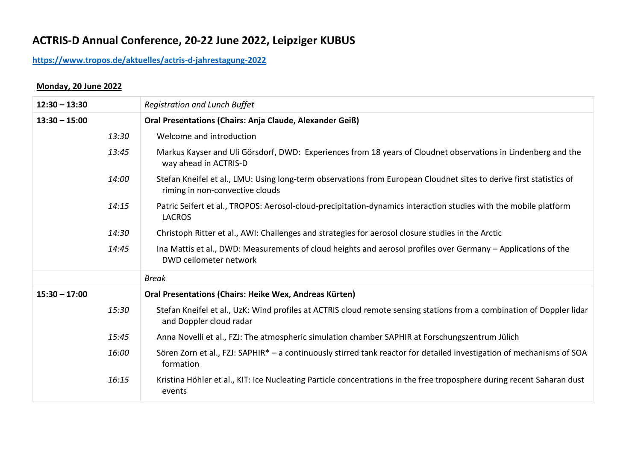# **ACTRIS-D Annual Conference, 20-22 June 2022, Leipziger KUBUS**

# **<https://www.tropos.de/aktuelles/actris-d-jahrestagung-2022>**

#### **Monday, 20 June 2022**

| $12:30 - 13:30$ | <b>Registration and Lunch Buffet</b>                                                                                                                   |
|-----------------|--------------------------------------------------------------------------------------------------------------------------------------------------------|
| $13:30 - 15:00$ | <b>Oral Presentations (Chairs: Anja Claude, Alexander Geiß)</b>                                                                                        |
| 13:30           | Welcome and introduction                                                                                                                               |
| 13:45           | Markus Kayser and Uli Görsdorf, DWD: Experiences from 18 years of Cloudnet observations in Lindenberg and the<br>way ahead in ACTRIS-D                 |
| 14:00           | Stefan Kneifel et al., LMU: Using long-term observations from European Cloudnet sites to derive first statistics of<br>riming in non-convective clouds |
| 14:15           | Patric Seifert et al., TROPOS: Aerosol-cloud-precipitation-dynamics interaction studies with the mobile platform<br><b>LACROS</b>                      |
| 14:30           | Christoph Ritter et al., AWI: Challenges and strategies for aerosol closure studies in the Arctic                                                      |
| 14:45           | Ina Mattis et al., DWD: Measurements of cloud heights and aerosol profiles over Germany – Applications of the<br>DWD ceilometer network                |
|                 | <b>Break</b>                                                                                                                                           |
| $15:30 - 17:00$ | Oral Presentations (Chairs: Heike Wex, Andreas Kürten)                                                                                                 |
| 15:30           | Stefan Kneifel et al., UzK: Wind profiles at ACTRIS cloud remote sensing stations from a combination of Doppler lidar<br>and Doppler cloud radar       |
| 15:45           | Anna Novelli et al., FZJ: The atmospheric simulation chamber SAPHIR at Forschungszentrum Jülich                                                        |
| 16:00           | Sören Zorn et al., FZJ: SAPHIR* - a continuously stirred tank reactor for detailed investigation of mechanisms of SOA<br>formation                     |
| 16:15           | Kristina Höhler et al., KIT: Ice Nucleating Particle concentrations in the free troposphere during recent Saharan dust<br>events                       |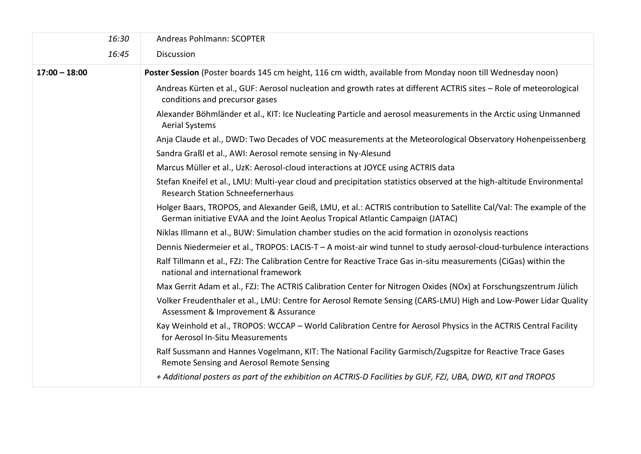| 16:30           | Andreas Pohlmann: SCOPTER                                                                                                                                                                             |
|-----------------|-------------------------------------------------------------------------------------------------------------------------------------------------------------------------------------------------------|
| 16:45           | Discussion                                                                                                                                                                                            |
| $17:00 - 18:00$ | Poster Session (Poster boards 145 cm height, 116 cm width, available from Monday noon till Wednesday noon)                                                                                            |
|                 | Andreas Kürten et al., GUF: Aerosol nucleation and growth rates at different ACTRIS sites - Role of meteorological<br>conditions and precursor gases                                                  |
|                 | Alexander Böhmländer et al., KIT: Ice Nucleating Particle and aerosol measurements in the Arctic using Unmanned<br><b>Aerial Systems</b>                                                              |
|                 | Anja Claude et al., DWD: Two Decades of VOC measurements at the Meteorological Observatory Hohenpeissenberg                                                                                           |
|                 | Sandra Graßl et al., AWI: Aerosol remote sensing in Ny-Alesund                                                                                                                                        |
|                 | Marcus Müller et al., UzK: Aerosol-cloud interactions at JOYCE using ACTRIS data                                                                                                                      |
|                 | Stefan Kneifel et al., LMU: Multi-year cloud and precipitation statistics observed at the high-altitude Environmental<br><b>Research Station Schneefernerhaus</b>                                     |
|                 | Holger Baars, TROPOS, and Alexander Geiß, LMU, et al.: ACTRIS contribution to Satellite Cal/Val: The example of the<br>German initiative EVAA and the Joint Aeolus Tropical Atlantic Campaign (JATAC) |
|                 | Niklas Illmann et al., BUW: Simulation chamber studies on the acid formation in ozonolysis reactions                                                                                                  |
|                 | Dennis Niedermeier et al., TROPOS: LACIS-T - A moist-air wind tunnel to study aerosol-cloud-turbulence interactions                                                                                   |
|                 | Ralf Tillmann et al., FZJ: The Calibration Centre for Reactive Trace Gas in-situ measurements (CiGas) within the<br>national and international framework                                              |
|                 | Max Gerrit Adam et al., FZJ: The ACTRIS Calibration Center for Nitrogen Oxides (NOx) at Forschungszentrum Jülich                                                                                      |
|                 | Volker Freudenthaler et al., LMU: Centre for Aerosol Remote Sensing (CARS-LMU) High and Low-Power Lidar Quality<br>Assessment & Improvement & Assurance                                               |
|                 | Kay Weinhold et al., TROPOS: WCCAP - World Calibration Centre for Aerosol Physics in the ACTRIS Central Facility<br>for Aerosol In-Situ Measurements                                                  |
|                 | Ralf Sussmann and Hannes Vogelmann, KIT: The National Facility Garmisch/Zugspitze for Reactive Trace Gases<br>Remote Sensing and Aerosol Remote Sensing                                               |
|                 | + Additional posters as part of the exhibition on ACTRIS-D Facilities by GUF, FZJ, UBA, DWD, KIT and TROPOS                                                                                           |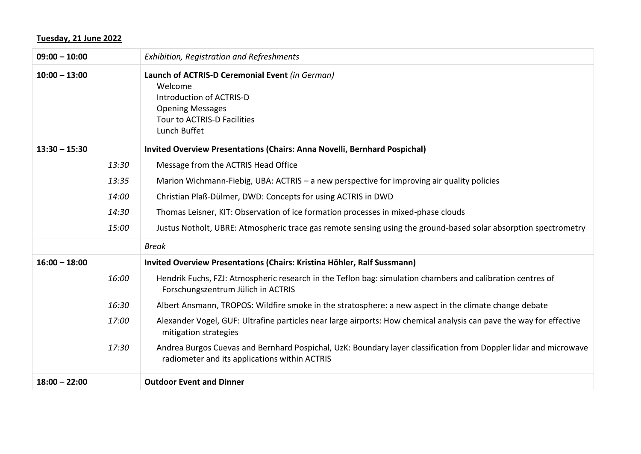## **Tuesday, 21 June 2022**

| $09:00 - 10:00$ | Exhibition, Registration and Refreshments                                                                                                                         |
|-----------------|-------------------------------------------------------------------------------------------------------------------------------------------------------------------|
| $10:00 - 13:00$ | Launch of ACTRIS-D Ceremonial Event (in German)<br>Welcome<br>Introduction of ACTRIS-D<br><b>Opening Messages</b><br>Tour to ACTRIS-D Facilities<br>Lunch Buffet  |
| $13:30 - 15:30$ | <b>Invited Overview Presentations (Chairs: Anna Novelli, Bernhard Pospichal)</b>                                                                                  |
| 13:30           | Message from the ACTRIS Head Office                                                                                                                               |
| 13:35           | Marion Wichmann-Fiebig, UBA: ACTRIS - a new perspective for improving air quality policies                                                                        |
| 14:00           | Christian Plaß-Dülmer, DWD: Concepts for using ACTRIS in DWD                                                                                                      |
| 14:30           | Thomas Leisner, KIT: Observation of ice formation processes in mixed-phase clouds                                                                                 |
| 15:00           | Justus Notholt, UBRE: Atmospheric trace gas remote sensing using the ground-based solar absorption spectrometry                                                   |
|                 | <b>Break</b>                                                                                                                                                      |
| $16:00 - 18:00$ | Invited Overview Presentations (Chairs: Kristina Höhler, Ralf Sussmann)                                                                                           |
| 16:00           | Hendrik Fuchs, FZJ: Atmospheric research in the Teflon bag: simulation chambers and calibration centres of<br>Forschungszentrum Jülich in ACTRIS                  |
| 16:30           | Albert Ansmann, TROPOS: Wildfire smoke in the stratosphere: a new aspect in the climate change debate                                                             |
| 17:00           | Alexander Vogel, GUF: Ultrafine particles near large airports: How chemical analysis can pave the way for effective<br>mitigation strategies                      |
| 17:30           | Andrea Burgos Cuevas and Bernhard Pospichal, UzK: Boundary layer classification from Doppler lidar and microwave<br>radiometer and its applications within ACTRIS |
| $18:00 - 22:00$ | <b>Outdoor Event and Dinner</b>                                                                                                                                   |